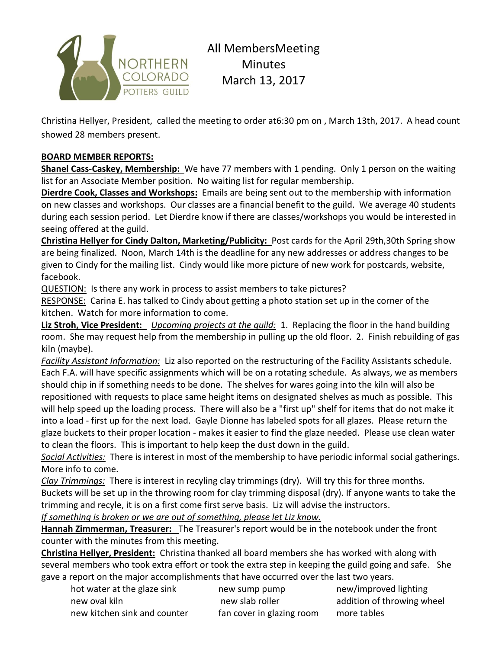

All MembersMeeting Minutes March 13, 2017

Christina Hellyer, President, called the meeting to order at6:30 pm on , March 13th, 2017. A head count showed 28 members present.

## **BOARD MEMBER REPORTS:**

**Shanel Cass-Caskey, Membership:** We have 77 members with 1 pending. Only 1 person on the waiting list for an Associate Member position. No waiting list for regular membership.

**Dierdre Cook, Classes and Workshops:** Emails are being sent out to the membership with information on new classes and workshops. Our classes are a financial benefit to the guild. We average 40 students during each session period. Let Dierdre know if there are classes/workshops you would be interested in seeing offered at the guild.

**Christina Hellyer for Cindy Dalton, Marketing/Publicity:** Post cards for the April 29th,30th Spring show are being finalized. Noon, March 14th is the deadline for any new addresses or address changes to be given to Cindy for the mailing list. Cindy would like more picture of new work for postcards, website, facebook.

QUESTION: Is there any work in process to assist members to take pictures?

RESPONSE: Carina E. has talked to Cindy about getting a photo station set up in the corner of the kitchen. Watch for more information to come.

**Liz Stroh, Vice President:** *Upcoming projects at the guild:* 1. Replacing the floor in the hand building room. She may request help from the membership in pulling up the old floor. 2. Finish rebuilding of gas kiln (maybe).

*Facility Assistant Information:* Liz also reported on the restructuring of the Facility Assistants schedule. Each F.A. will have specific assignments which will be on a rotating schedule. As always, we as members should chip in if something needs to be done. The shelves for wares going into the kiln will also be repositioned with requests to place same height items on designated shelves as much as possible. This will help speed up the loading process. There will also be a "first up" shelf for items that do not make it into a load - first up for the next load. Gayle Dionne has labeled spots for all glazes. Please return the glaze buckets to their proper location - makes it easier to find the glaze needed. Please use clean water to clean the floors. This is important to help keep the dust down in the guild.

*Social Activities:* There is interest in most of the membership to have periodic informal social gatherings. More info to come.

*Clay Trimmings:* There is interest in recyling clay trimmings (dry). Will try this for three months. Buckets will be set up in the throwing room for clay trimming disposal (dry). If anyone wants to take the trimming and recyle, it is on a first come first serve basis. Liz will advise the instructors.

*If something is broken or we are out of something, please let Liz know.*

**Hannah Zimmerman, Treasurer:** The Treasurer's report would be in the notebook under the front counter with the minutes from this meeting.

**Christina Hellyer, President:** Christina thanked all board members she has worked with along with several members who took extra effort or took the extra step in keeping the guild going and safe. She gave a report on the major accomplishments that have occurred over the last two years.

| hot water at the glaze sink  |
|------------------------------|
| new oval kiln                |
| new kitchen sink and counter |

how sump pump new/improved lighting fan cover in glazing room more tables

new slab roller addition of throwing wheel